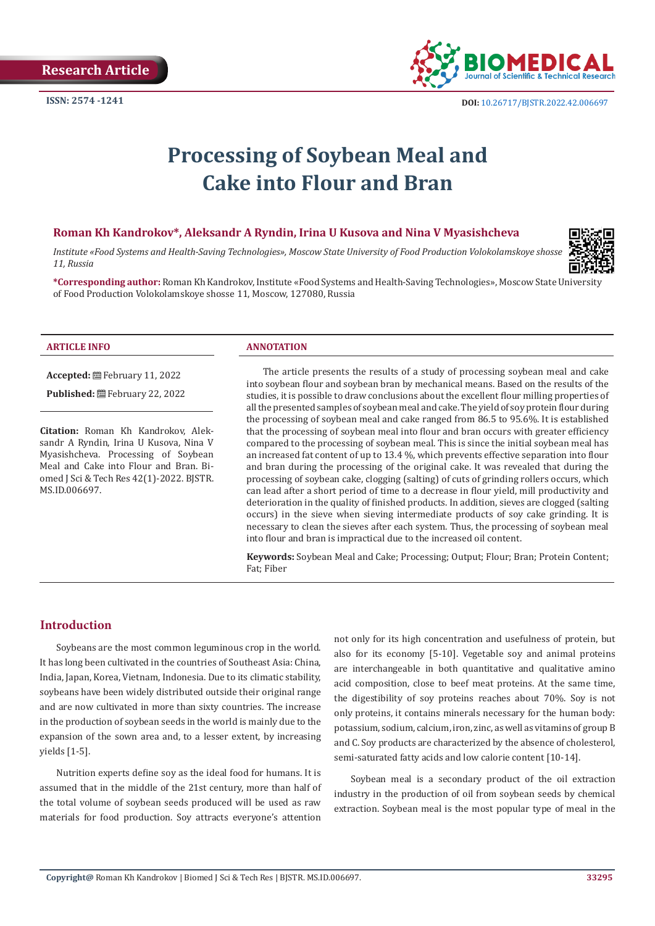

# **Processing of Soybean Meal and Cake into Flour and Bran**

#### **Roman Kh Kandrokov\*, Aleksandr A Ryndin, Irina U Kusova and Nina V Myasishcheva**

*Institute «Food Systems and Health-Saving Technologies», Moscow State University of Food Production Volokolamskoye shosse 11, Russia*



**\*Corresponding author:** Roman Kh Kandrokov, Institute «Food Systems and Health-Saving Technologies», Moscow State University of Food Production Volokolamskoye shosse 11, Moscow, 127080, Russia

**Accepted:** February 11, 2022

Published: **■**February 22, 2022

**Citation:** Roman Kh Kandrokov, Aleksandr A Ryndin, Irina U Kusova, Nina V Myasishcheva. Processing of Soybean Meal and Cake into Flour and Bran. Biomed J Sci & Tech Res 42(1)-2022. BJSTR. MS.ID.006697.

#### **ARTICLE INFO ANNOTATION**

The article presents the results of a study of processing soybean meal and cake into soybean flour and soybean bran by mechanical means. Based on the results of the studies, it is possible to draw conclusions about the excellent flour milling properties of all the presented samples of soybean meal and cake. The yield of soy protein flour during the processing of soybean meal and cake ranged from 86.5 to 95.6%. It is established that the processing of soybean meal into flour and bran occurs with greater efficiency compared to the processing of soybean meal. This is since the initial soybean meal has an increased fat content of up to 13.4 %, which prevents effective separation into flour and bran during the processing of the original cake. It was revealed that during the processing of soybean cake, clogging (salting) of cuts of grinding rollers occurs, which can lead after a short period of time to a decrease in flour yield, mill productivity and deterioration in the quality of finished products. In addition, sieves are clogged (salting occurs) in the sieve when sieving intermediate products of soy cake grinding. It is necessary to clean the sieves after each system. Thus, the processing of soybean meal into flour and bran is impractical due to the increased oil content.

**Keywords:** Soybean Meal and Cake; Processing; Output; Flour; Bran; Protein Content; Fat; Fiber

## **Introduction**

Soybeans are the most common leguminous crop in the world. It has long been cultivated in the countries of Southeast Asia: China, India, Japan, Korea, Vietnam, Indonesia. Due to its climatic stability, soybeans have been widely distributed outside their original range and are now cultivated in more than sixty countries. The increase in the production of soybean seeds in the world is mainly due to the expansion of the sown area and, to a lesser extent, by increasing yields [1-5].

Nutrition experts define soy as the ideal food for humans. It is assumed that in the middle of the 21st century, more than half of the total volume of soybean seeds produced will be used as raw materials for food production. Soy attracts everyone's attention not only for its high concentration and usefulness of protein, but also for its economy [5-10]. Vegetable soy and animal proteins are interchangeable in both quantitative and qualitative amino acid composition, close to beef meat proteins. At the same time, the digestibility of soy proteins reaches about 70%. Soy is not only proteins, it contains minerals necessary for the human body: potassium, sodium, calcium, iron, zinc, as well as vitamins of group B and C. Soy products are characterized by the absence of cholesterol, semi-saturated fatty acids and low calorie content [10-14].

Soybean meal is a secondary product of the oil extraction industry in the production of oil from soybean seeds by chemical extraction. Soybean meal is the most popular type of meal in the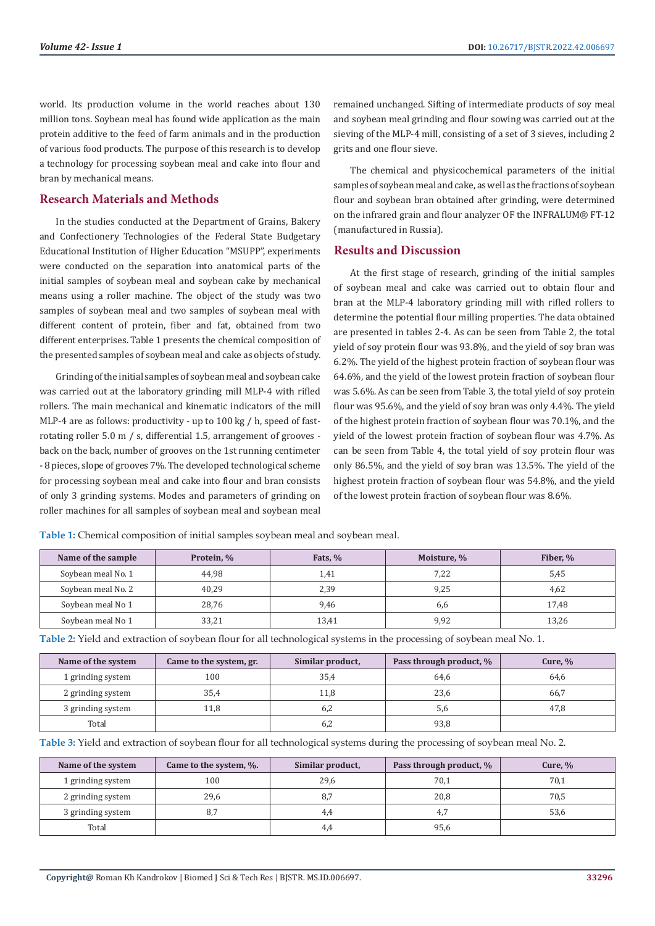world. Its production volume in the world reaches about 130 million tons. Soybean meal has found wide application as the main protein additive to the feed of farm animals and in the production of various food products. The purpose of this research is to develop a technology for processing soybean meal and cake into flour and bran by mechanical means.

#### **Research Materials and Methods**

In the studies conducted at the Department of Grains, Bakery and Confectionery Technologies of the Federal State Budgetary Educational Institution of Higher Education "MSUPP", experiments were conducted on the separation into anatomical parts of the initial samples of soybean meal and soybean cake by mechanical means using a roller machine. The object of the study was two samples of soybean meal and two samples of soybean meal with different content of protein, fiber and fat, obtained from two different enterprises. Table 1 presents the chemical composition of the presented samples of soybean meal and cake as objects of study.

Grinding of the initial samples of soybean meal and soybean cake was carried out at the laboratory grinding mill MLP-4 with rifled rollers. The main mechanical and kinematic indicators of the mill MLP-4 are as follows: productivity - up to 100 kg / h, speed of fastrotating roller 5.0 m / s, differential 1.5, arrangement of grooves back on the back, number of grooves on the 1st running centimeter - 8 pieces, slope of grooves 7%. The developed technological scheme for processing soybean meal and cake into flour and bran consists of only 3 grinding systems. Modes and parameters of grinding on roller machines for all samples of soybean meal and soybean meal

remained unchanged. Sifting of intermediate products of soy meal and soybean meal grinding and flour sowing was carried out at the sieving of the MLP-4 mill, consisting of a set of 3 sieves, including 2 grits and one flour sieve.

The chemical and physicochemical parameters of the initial samples of soybean meal and cake, as well as the fractions of soybean flour and soybean bran obtained after grinding, were determined on the infrared grain and flour analyzer OF the INFRALUM® FT-12 (manufactured in Russia).

#### **Results and Discussion**

At the first stage of research, grinding of the initial samples of soybean meal and cake was carried out to obtain flour and bran at the MLP-4 laboratory grinding mill with rifled rollers to determine the potential flour milling properties. The data obtained are presented in tables 2-4. As can be seen from Table 2, the total yield of soy protein flour was 93.8%, and the yield of soy bran was 6.2%. The yield of the highest protein fraction of soybean flour was 64.6%, and the yield of the lowest protein fraction of soybean flour was 5.6%. As can be seen from Table 3, the total yield of soy protein flour was 95.6%, and the yield of soy bran was only 4.4%. The yield of the highest protein fraction of soybean flour was 70.1%, and the yield of the lowest protein fraction of soybean flour was 4.7%. As can be seen from Table 4, the total yield of soy protein flour was only 86.5%, and the yield of soy bran was 13.5%. The yield of the highest protein fraction of soybean flour was 54.8%, and the yield of the lowest protein fraction of soybean flour was 8.6%.

**Table 1:** Chemical composition of initial samples soybean meal and soybean meal.

| Name of the sample | Protein, % | Fats, % | Moisture, % | Fiber, % |
|--------------------|------------|---------|-------------|----------|
| Soybean meal No. 1 | 44.98      | 1,41    | 7,22        | 5,45     |
| Soybean meal No. 2 | 40.29      | 2,39    | 9,25        | 4,62     |
| Soybean meal No 1  | 28,76      | 9,46    | 6,6         | 17,48    |
| Soybean meal No 1  | 33,21      | 13.41   | 9,92        | 13,26    |

**Table 2:** Yield and extraction of soybean flour for all technological systems in the processing of soybean meal No. 1.

| Name of the system | Came to the system, gr. | Similar product, | Pass through product, % | Cure, $\%$ |
|--------------------|-------------------------|------------------|-------------------------|------------|
| 1 grinding system  | 100                     | 35,4             | 64,6                    | 64,6       |
| 2 grinding system  | 35,4                    | 11,8             | 23,6                    | 66,7       |
| 3 grinding system  | 11.8                    | 6.2              | 5,6                     | 47.8       |
| Total              |                         | 6.2              | 93.8                    |            |

**Table 3:** Yield and extraction of soybean flour for all technological systems during the processing of soybean meal No. 2.

| Name of the system | Came to the system, %. | Similar product, | Pass through product, % | Cure, $%$ |
|--------------------|------------------------|------------------|-------------------------|-----------|
| 1 grinding system  | 100                    | 29,6             | 70,1                    | 70,1      |
| 2 grinding system  | 29,6                   | 8.7              | 20,8                    | 70,5      |
| 3 grinding system  | 8,7                    | 4.4              | 4.7                     | 53,6      |
| Total              |                        | 4.4              | 95,6                    |           |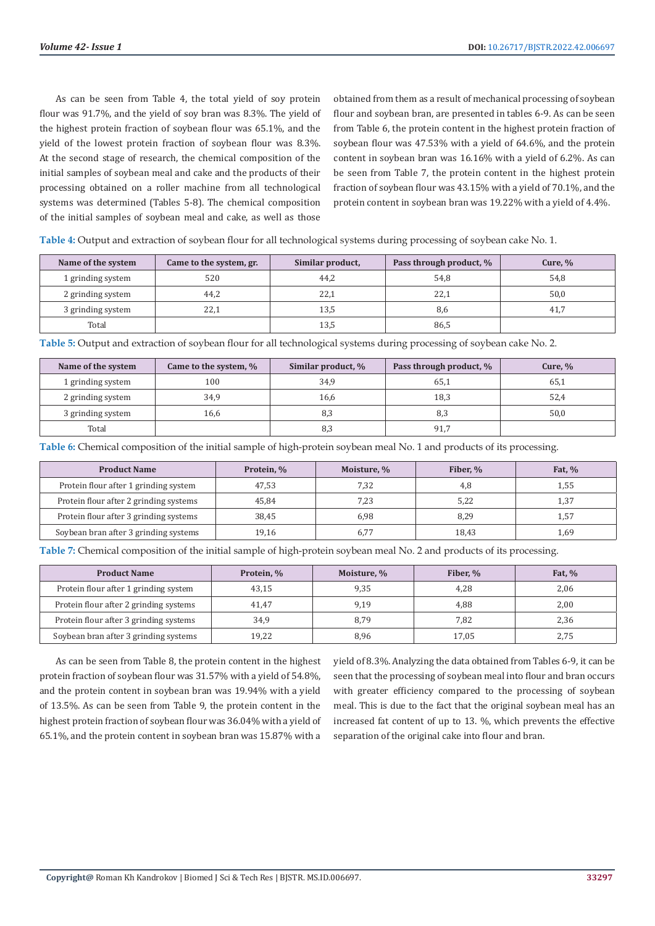As can be seen from Table 4, the total yield of soy protein flour was 91.7%, and the yield of soy bran was 8.3%. The yield of the highest protein fraction of soybean flour was 65.1%, and the yield of the lowest protein fraction of soybean flour was 8.3%. At the second stage of research, the chemical composition of the initial samples of soybean meal and cake and the products of their processing obtained on a roller machine from all technological systems was determined (Tables 5-8). The chemical composition of the initial samples of soybean meal and cake, as well as those

obtained from them as a result of mechanical processing of soybean flour and soybean bran, are presented in tables 6-9. As can be seen from Table 6, the protein content in the highest protein fraction of soybean flour was 47.53% with a yield of 64.6%, and the protein content in soybean bran was 16.16% with a yield of 6.2%. As can be seen from Table 7, the protein content in the highest protein fraction of soybean flour was 43.15% with a yield of 70.1%, and the protein content in soybean bran was 19.22% with a yield of 4.4%.

**Table 4:** Output and extraction of soybean flour for all technological systems during processing of soybean cake No. 1.

| Name of the system | Came to the system, gr. | Similar product, | Pass through product, % | Cure, $%$ |
|--------------------|-------------------------|------------------|-------------------------|-----------|
| 1 grinding system  | 520                     | 44,2             | 54,8                    | 54,8      |
| 2 grinding system  | 44,2                    | 22,1             | 22,1                    | 50,0      |
| 3 grinding system  | 22,1                    | 13.5             | 8,6                     | 41.7      |
| Total              |                         | 13,5             | 86,5                    |           |

**Table 5:** Output and extraction of soybean flour for all technological systems during processing of soybean cake No. 2.

| Name of the system | Came to the system, % | Similar product, % | Pass through product, % | Cure, $%$ |
|--------------------|-----------------------|--------------------|-------------------------|-----------|
| 1 grinding system  | 100                   | 34.9               | 65,1                    | 65,1      |
| 2 grinding system  | 34,9                  | 16,6               | 18,3                    | 52,4      |
| 3 grinding system  | 16,6                  | 8.3                | 8,3                     | 50,0      |
| Total              |                       | 8,3                | 91,7                    |           |

**Table 6:** Chemical composition of the initial sample of high-protein soybean meal No. 1 and products of its processing.

| <b>Product Name</b>                    | Protein, % | Moisture, % | Fiber. % | Fat, $%$ |
|----------------------------------------|------------|-------------|----------|----------|
| Protein flour after 1 grinding system  | 47.53      | 7.32        | 4.8      | 1,55     |
| Protein flour after 2 grinding systems | 45.84      | 7,23        | 5,22     | 1,37     |
| Protein flour after 3 grinding systems | 38.45      | 6,98        | 8.29     | 1,57     |
| Soybean bran after 3 grinding systems  | 19.16      | 6,77        | 18.43    | 1,69     |

**Table 7:** Chemical composition of the initial sample of high-protein soybean meal No. 2 and products of its processing.

| <b>Product Name</b>                    | Protein, % | Moisture, % | Fiber. % | Fat, $%$ |
|----------------------------------------|------------|-------------|----------|----------|
| Protein flour after 1 grinding system  | 43.15      | 9,35        | 4.28     | 2,06     |
| Protein flour after 2 grinding systems | 41.47      | 9,19        | 4.88     | 2,00     |
| Protein flour after 3 grinding systems | 34.9       | 8.79        | 7.82     | 2,36     |
| Soybean bran after 3 grinding systems  | 19,22      | 8,96        | 17.05    | 2,75     |

As can be seen from Table 8, the protein content in the highest protein fraction of soybean flour was 31.57% with a yield of 54.8%, and the protein content in soybean bran was 19.94% with a yield of 13.5%. As can be seen from Table 9, the protein content in the highest protein fraction of soybean flour was 36.04% with a yield of 65.1%, and the protein content in soybean bran was 15.87% with a

yield of 8.3%. Analyzing the data obtained from Tables 6-9, it can be seen that the processing of soybean meal into flour and bran occurs with greater efficiency compared to the processing of soybean meal. This is due to the fact that the original soybean meal has an increased fat content of up to 13. %, which prevents the effective separation of the original cake into flour and bran.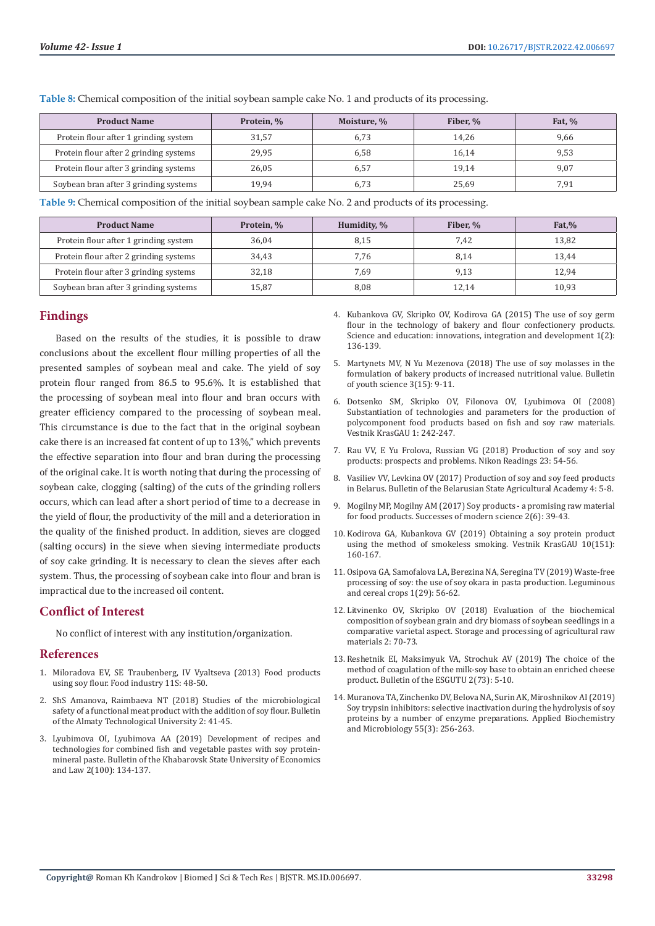| <b>Product Name</b>                    | Protein, % | Moisture, % | Fiber. % | <b>Fat, %</b> |
|----------------------------------------|------------|-------------|----------|---------------|
| Protein flour after 1 grinding system  | 31.57      | 6.73        | 14.26    | 9,66          |
| Protein flour after 2 grinding systems | 29,95      | 6.58        | 16.14    | 9,53          |
| Protein flour after 3 grinding systems | 26,05      | 6.57        | 19.14    | 9,07          |
| Soybean bran after 3 grinding systems  | 19.94      | 6,73        | 25,69    | 7,91          |

**Table 8:** Chemical composition of the initial soybean sample cake No. 1 and products of its processing.

**Table 9:** Chemical composition of the initial soybean sample cake No. 2 and products of its processing.

| <b>Product Name</b>                    | Protein, % | Humidity, % | Fiber. % | $_{\rm Fat, \%}$ |
|----------------------------------------|------------|-------------|----------|------------------|
| Protein flour after 1 grinding system  | 36.04      | 8,15        | 7.42     | 13,82            |
| Protein flour after 2 grinding systems | 34.43      | 7.76        | 8,14     | 13.44            |
| Protein flour after 3 grinding systems | 32.18      | 7,69        | 9,13     | 12.94            |
| Soybean bran after 3 grinding systems  | 15,87      | 8,08        | 12,14    | 10,93            |

## **Findings**

Based on the results of the studies, it is possible to draw conclusions about the excellent flour milling properties of all the presented samples of soybean meal and cake. The yield of soy protein flour ranged from 86.5 to 95.6%. It is established that the processing of soybean meal into flour and bran occurs with greater efficiency compared to the processing of soybean meal. This circumstance is due to the fact that in the original soybean cake there is an increased fat content of up to 13%," which prevents the effective separation into flour and bran during the processing of the original cake. It is worth noting that during the processing of soybean cake, clogging (salting) of the cuts of the grinding rollers occurs, which can lead after a short period of time to a decrease in the yield of flour, the productivity of the mill and a deterioration in the quality of the finished product. In addition, sieves are clogged (salting occurs) in the sieve when sieving intermediate products of soy cake grinding. It is necessary to clean the sieves after each system. Thus, the processing of soybean cake into flour and bran is impractical due to the increased oil content.

## **Conflict of Interest**

No conflict of interest with any institution/organization.

#### **References**

- 1. Miloradova EV, SE Traubenberg, IV Vyaltseva (2013) Food products using soy flour. Food industry 11S: 48-50.
- 2. ShS Amanova, Raimbaeva NT (2018) Studies of the microbiological safety of a functional meat product with the addition of soy flour. Bulletin of the Almaty Technological University 2: 41-45.
- 3. Lyubimova OI, Lyubimova AA (2019) Development of recipes and technologies for combined fish and vegetable pastes with soy proteinmineral paste. Bulletin of the Khabarovsk State University of Economics and Law 2(100): 134-137.
- 4. Kubankova GV, Skripko OV, Kodirova GA (2015) The use of soy germ flour in the technology of bakery and flour confectionery products. Science and education: innovations, integration and development 1(2): 136-139.
- 5. Martynets MV, N Yu Mezenova (2018) The use of soy molasses in the formulation of bakery products of increased nutritional value. Bulletin of youth science 3(15): 9-11.
- 6. Dotsenko SM, Skripko OV, Filonova OV, Lyubimova OI (2008) Substantiation of technologies and parameters for the production of polycomponent food products based on fish and soy raw materials. Vestnik KrasGAU 1: 242-247.
- 7. Rau VV, E Yu Frolova, Russian VG (2018) Production of soy and soy products: prospects and problems. Nikon Readings 23: 54-56.
- Vasiliev VV, Levkina OV (2017) Production of soy and soy feed products in Belarus. Bulletin of the Belarusian State Agricultural Academy 4: 5-8.
- 9. Mogilny MP, Mogilny AM (2017) Soy products a promising raw material for food products. Successes of modern science 2(6): 39-43.
- 10. Kodirova GA, Kubankova GV (2019) Obtaining a soy protein product using the method of smokeless smoking. Vestnik KrasGAU 10(151): 160-167.
- 11. Osipova GA, Samofalova LA, Berezina NA, Seregina TV (2019) Waste-free processing of soy: the use of soy okara in pasta production. Leguminous and cereal crops 1(29): 56-62.
- 12. Litvinenko OV, Skripko OV (2018) Evaluation of the biochemical composition of soybean grain and dry biomass of soybean seedlings in a comparative varietal aspect. Storage and processing of agricultural raw materials 2: 70-73.
- 13. Reshetnik EI, Maksimyuk VA, Strochuk AV (2019) The choice of the method of coagulation of the milk-soy base to obtain an enriched cheese product. Bulletin of the ESGUTU 2(73): 5-10.
- 14. Muranova TA, Zinchenko DV, Belova NA, Surin AK, Miroshnikov AI (2019) Soy trypsin inhibitors: selective inactivation during the hydrolysis of soy proteins by a number of enzyme preparations. Applied Biochemistry and Microbiology 55(3): 256-263.